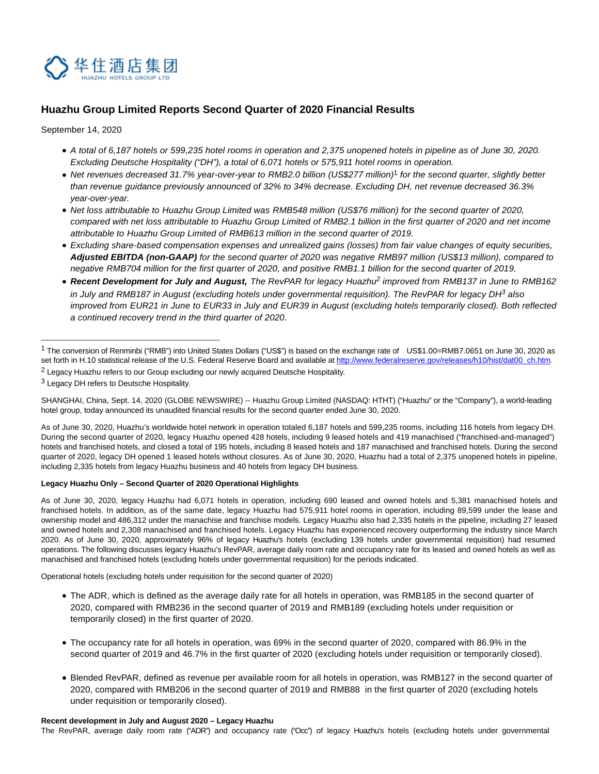

# **Huazhu Group Limited Reports Second Quarter of 2020 Financial Results**

September 14, 2020

- A total of 6,187 hotels or 599,235 hotel rooms in operation and 2,375 unopened hotels in pipeline as of June 30, 2020. Excluding Deutsche Hospitality ("DH"), a total of 6,071 hotels or 575,911 hotel rooms in operation.
- Net revenues decreased 31.7% year-over-year to RMB2.0 billion (US\$277 million)<sup>1</sup> for the second quarter, slightly better than revenue guidance previously announced of 32% to 34% decrease. Excluding DH, net revenue decreased 36.3% year-over-year.
- Net loss attributable to Huazhu Group Limited was RMB548 million (US\$76 million) for the second quarter of 2020, compared with net loss attributable to Huazhu Group Limited of RMB2.1 billion in the first quarter of 2020 and net income attributable to Huazhu Group Limited of RMB613 million in the second quarter of 2019.
- Excluding share-based compensation expenses and unrealized gains (losses) from fair value changes of equity securities, **Adjusted EBITDA (non-GAAP)** for the second quarter of 2020 was negative RMB97 million (US\$13 million), compared to negative RMB704 million for the first quarter of 2020, and positive RMB1.1 billion for the second quarter of 2019.
- Recent Development for July and August, The RevPAR for legacy Huazhu<sup>2</sup> improved from RMB137 in June to RMB162 in July and RMB187 in August (excluding hotels under governmental requisition). The RevPAR for legacy DH<sup>3</sup> also improved from EUR21 in June to EUR33 in July and EUR39 in August (excluding hotels temporarily closed). Both reflected a continued recovery trend in the third quarter of 2020.

\_\_\_\_\_\_\_\_\_\_\_\_\_\_\_\_\_\_\_\_\_\_\_\_\_\_\_\_\_\_\_\_\_\_\_\_\_\_\_\_\_\_\_\_\_\_\_

SHANGHAI, China, Sept. 14, 2020 (GLOBE NEWSWIRE) -- Huazhu Group Limited (NASDAQ: HTHT) ("Huazhu" or the "Company"), a world-leading hotel group, today announced its unaudited financial results for the second quarter ended June 30, 2020.

As of June 30, 2020, Huazhu's worldwide hotel network in operation totaled 6,187 hotels and 599,235 rooms, including 116 hotels from legacy DH. During the second quarter of 2020, legacy Huazhu opened 428 hotels, including 9 leased hotels and 419 manachised ("franchised-and-managed") hotels and franchised hotels, and closed a total of 195 hotels, including 8 leased hotels and 187 manachised and franchised hotels. During the second quarter of 2020, legacy DH opened 1 leased hotels without closures. As of June 30, 2020, Huazhu had a total of 2,375 unopened hotels in pipeline, including 2,335 hotels from legacy Huazhu business and 40 hotels from legacy DH business.

### **Legacy Huazhu Only – Second Quarter of 2020 Operational Highlights**

As of June 30, 2020, legacy Huazhu had 6,071 hotels in operation, including 690 leased and owned hotels and 5,381 manachised hotels and franchised hotels. In addition, as of the same date, legacy Huazhu had 575,911 hotel rooms in operation, including 89,599 under the lease and ownership model and 486,312 under the manachise and franchise models. Legacy Huazhu also had 2,335 hotels in the pipeline, including 27 leased and owned hotels and 2,308 manachised and franchised hotels. Legacy Huazhu has experienced recovery outperforming the industry since March 2020. As of June 30, 2020, approximately 96% of legacy Huazhu's hotels (excluding 139 hotels under governmental requisition) had resumed operations. The following discusses legacy Huazhu's RevPAR, average daily room rate and occupancy rate for its leased and owned hotels as well as manachised and franchised hotels (excluding hotels under governmental requisition) for the periods indicated.

Operational hotels (excluding hotels under requisition for the second quarter of 2020)

- The ADR, which is defined as the average daily rate for all hotels in operation, was RMB185 in the second quarter of 2020, compared with RMB236 in the second quarter of 2019 and RMB189 (excluding hotels under requisition or temporarily closed) in the first quarter of 2020.
- The occupancy rate for all hotels in operation, was 69% in the second quarter of 2020, compared with 86.9% in the second quarter of 2019 and 46.7% in the first quarter of 2020 (excluding hotels under requisition or temporarily closed).
- Blended RevPAR, defined as revenue per available room for all hotels in operation, was RMB127 in the second quarter of 2020, compared with RMB206 in the second quarter of 2019 and RMB88 in the first quarter of 2020 (excluding hotels under requisition or temporarily closed).

### **Recent development in July and August 2020 – Legacy Huazhu**

The RevPAR, average daily room rate ("ADR") and occupancy rate ("Occ") of legacy Huazhu's hotels (excluding hotels under governmental

<sup>1</sup> The conversion of Renminbi ("RMB") into United States Dollars ("US\$") is based on the exchange rate of US\$1.00=RMB7.0651 on June 30, 2020 as set forth in H.10 statistical release of the U.S. Federal Reserve Board and available a[t http://www.federalreserve.gov/releases/h10/hist/dat00\\_ch.htm.](https://www.globenewswire.com/Tracker?data=6fWu1lw53xSkugFBETXFaElVzwz0SKN5kWQLWGZX-0oD8UYAbIGWASj_Vn4ZcxQIWs5J3X-pEpYFb6P_99bmOlUNifS-etpAkroSCe6sCU3NbRo5I2aHODkfi6VELF43WjB3cHNlYX7Sk5t3sZpvQ5qtzhsu5OkhEHlL8x27i8kaSaJI0do3AAelhluQJi7d) <sup>2</sup> Legacy Huazhu refers to our Group excluding our newly acquired Deutsche Hospitality.

<sup>&</sup>lt;sup>3</sup> Legacy DH refers to Deutsche Hospitality.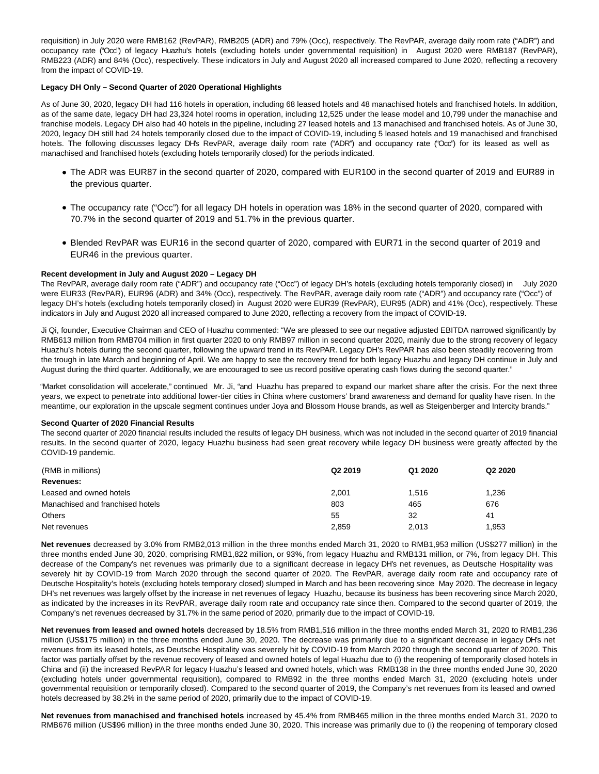requisition) in July 2020 were RMB162 (RevPAR), RMB205 (ADR) and 79% (Occ), respectively. The RevPAR, average daily room rate ("ADR") and occupancy rate ("Occ") of legacy Huazhu's hotels (excluding hotels under governmental requisition) in August 2020 were RMB187 (RevPAR), RMB223 (ADR) and 84% (Occ), respectively. These indicators in July and August 2020 all increased compared to June 2020, reflecting a recovery from the impact of COVID-19.

### **Legacy DH Only – Second Quarter of 2020 Operational Highlights**

As of June 30, 2020, legacy DH had 116 hotels in operation, including 68 leased hotels and 48 manachised hotels and franchised hotels. In addition, as of the same date, legacy DH had 23,324 hotel rooms in operation, including 12,525 under the lease model and 10,799 under the manachise and franchise models. Legacy DH also had 40 hotels in the pipeline, including 27 leased hotels and 13 manachised and franchised hotels. As of June 30, 2020, legacy DH still had 24 hotels temporarily closed due to the impact of COVID-19, including 5 leased hotels and 19 manachised and franchised hotels. The following discusses legacy DH's RevPAR, average daily room rate ("ADR") and occupancy rate ("Occ") for its leased as well as manachised and franchised hotels (excluding hotels temporarily closed) for the periods indicated.

- The ADR was EUR87 in the second quarter of 2020, compared with EUR100 in the second quarter of 2019 and EUR89 in the previous quarter.
- The occupancy rate ("Occ") for all legacy DH hotels in operation was 18% in the second quarter of 2020, compared with 70.7% in the second quarter of 2019 and 51.7% in the previous quarter.
- Blended RevPAR was EUR16 in the second quarter of 2020, compared with EUR71 in the second quarter of 2019 and EUR46 in the previous quarter.

#### **Recent development in July and August 2020 – Legacy DH**

The RevPAR, average daily room rate ("ADR") and occupancy rate ("Occ") of legacy DH's hotels (excluding hotels temporarily closed) in July 2020 were EUR33 (RevPAR), EUR96 (ADR) and 34% (Occ), respectively. The RevPAR, average daily room rate ("ADR") and occupancy rate ("Occ") of legacy DH's hotels (excluding hotels temporarily closed) in August 2020 were EUR39 (RevPAR), EUR95 (ADR) and 41% (Occ), respectively. These indicators in July and August 2020 all increased compared to June 2020, reflecting a recovery from the impact of COVID-19.

Ji Qi, founder, Executive Chairman and CEO of Huazhu commented: "We are pleased to see our negative adjusted EBITDA narrowed significantly by RMB613 million from RMB704 million in first quarter 2020 to only RMB97 million in second quarter 2020, mainly due to the strong recovery of legacy Huazhu's hotels during the second quarter, following the upward trend in its RevPAR. Legacy DH's RevPAR has also been steadily recovering from the trough in late March and beginning of April. We are happy to see the recovery trend for both legacy Huazhu and legacy DH continue in July and August during the third quarter. Additionally, we are encouraged to see us record positive operating cash flows during the second quarter."

"Market consolidation will accelerate," continued Mr. Ji, "and Huazhu has prepared to expand our market share after the crisis. For the next three years, we expect to penetrate into additional lower-tier cities in China where customers' brand awareness and demand for quality have risen. In the meantime, our exploration in the upscale segment continues under Joya and Blossom House brands, as well as Steigenberger and Intercity brands."

#### **Second Quarter of 2020 Financial Results**

The second quarter of 2020 financial results included the results of legacy DH business, which was not included in the second quarter of 2019 financial results. In the second quarter of 2020, legacy Huazhu business had seen great recovery while legacy DH business were greatly affected by the COVID-19 pandemic.

| (RMB in millions)                | Q <sub>2</sub> 2019 | Q1 2020 | Q <sub>2</sub> 2020 |
|----------------------------------|---------------------|---------|---------------------|
| Revenues:                        |                     |         |                     |
| Leased and owned hotels          | 2,001               | 1.516   | 1,236               |
| Manachised and franchised hotels | 803                 | 465     | 676                 |
| <b>Others</b>                    | 55                  | 32      | 41                  |
| Net revenues                     | 2,859               | 2.013   | 1,953               |

**Net revenues** decreased by 3.0% from RMB2,013 million in the three months ended March 31, 2020 to RMB1,953 million (US\$277 million) in the three months ended June 30, 2020, comprising RMB1,822 million, or 93%, from legacy Huazhu and RMB131 million, or 7%, from legacy DH. This decrease of the Company's net revenues was primarily due to a significant decrease in legacy DH's net revenues, as Deutsche Hospitality was severely hit by COVID-19 from March 2020 through the second quarter of 2020. The RevPAR, average daily room rate and occupancy rate of Deutsche Hospitality's hotels (excluding hotels temporary closed) slumped in March and has been recovering since May 2020. The decrease in legacy DH's net revenues was largely offset by the increase in net revenues of legacy Huazhu, because its business has been recovering since March 2020, as indicated by the increases in its RevPAR, average daily room rate and occupancy rate since then. Compared to the second quarter of 2019, the Company's net revenues decreased by 31.7% in the same period of 2020, primarily due to the impact of COVID-19.

**Net revenues from leased and owned hotels** decreased by 18.5% from RMB1,516 million in the three months ended March 31, 2020 to RMB1,236 million (US\$175 million) in the three months ended June 30, 2020. The decrease was primarily due to a significant decrease in legacy DH's net revenues from its leased hotels, as Deutsche Hospitality was severely hit by COVID-19 from March 2020 through the second quarter of 2020. This factor was partially offset by the revenue recovery of leased and owned hotels of legal Huazhu due to (i) the reopening of temporarily closed hotels in China and (ii) the increased RevPAR for legacy Huazhu's leased and owned hotels, which was RMB138 in the three months ended June 30, 2020 (excluding hotels under governmental requisition), compared to RMB92 in the three months ended March 31, 2020 (excluding hotels under governmental requisition or temporarily closed). Compared to the second quarter of 2019, the Company's net revenues from its leased and owned hotels decreased by 38.2% in the same period of 2020, primarily due to the impact of COVID-19.

**Net revenues from manachised and franchised hotels** increased by 45.4% from RMB465 million in the three months ended March 31, 2020 to RMB676 million (US\$96 million) in the three months ended June 30, 2020. This increase was primarily due to (i) the reopening of temporary closed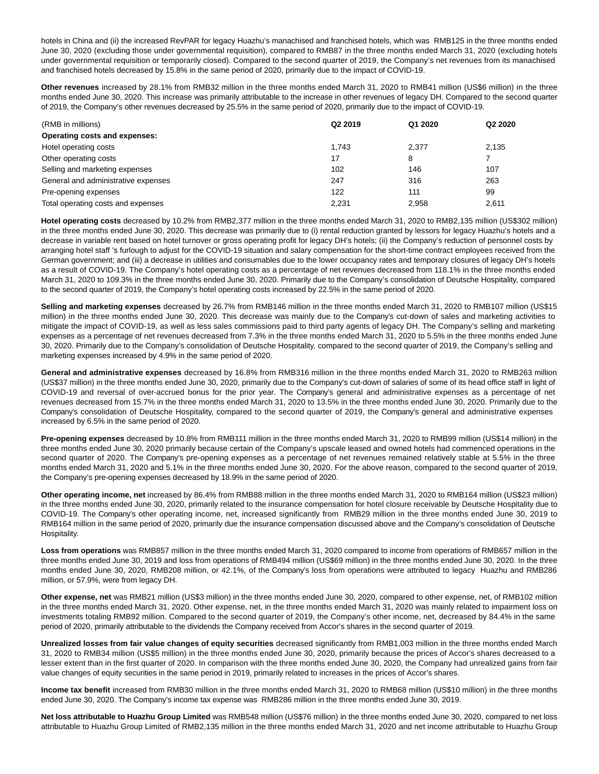hotels in China and (ii) the increased RevPAR for legacy Huazhu's manachised and franchised hotels, which was RMB125 in the three months ended June 30, 2020 (excluding those under governmental requisition), compared to RMB87 in the three months ended March 31, 2020 (excluding hotels under governmental requisition or temporarily closed). Compared to the second quarter of 2019, the Company's net revenues from its manachised and franchised hotels decreased by 15.8% in the same period of 2020, primarily due to the impact of COVID-19.

**Other revenues** increased by 28.1% from RMB32 million in the three months ended March 31, 2020 to RMB41 million (US\$6 million) in the three months ended June 30, 2020. This increase was primarily attributable to the increase in other revenues of legacy DH. Compared to the second quarter of 2019, the Company's other revenues decreased by 25.5% in the same period of 2020, primarily due to the impact of COVID-19.

| (RMB in millions)                   | Q <sub>2</sub> 2019 | Q1 2020 | Q2 2020 |
|-------------------------------------|---------------------|---------|---------|
| Operating costs and expenses:       |                     |         |         |
| Hotel operating costs               | 1.743               | 2.377   | 2.135   |
| Other operating costs               | 17                  | 8       |         |
| Selling and marketing expenses      | 102                 | 146     | 107     |
| General and administrative expenses | 247                 | 316     | 263     |
| Pre-opening expenses                | 122                 | 111     | 99      |
| Total operating costs and expenses  | 2.231               | 2.958   | 2.611   |

**Hotel operating costs** decreased by 10.2% from RMB2,377 million in the three months ended March 31, 2020 to RMB2,135 million (US\$302 million) in the three months ended June 30, 2020. This decrease was primarily due to (i) rental reduction granted by lessors for legacy Huazhu's hotels and a decrease in variable rent based on hotel turnover or gross operating profit for legacy DH's hotels; (ii) the Company's reduction of personnel costs by arranging hotel staff 's furlough to adjust for the COVID-19 situation and salary compensation for the short-time contract employees received from the German government; and (iii) a decrease in utilities and consumables due to the lower occupancy rates and temporary closures of legacy DH's hotels as a result of COVID-19. The Company's hotel operating costs as a percentage of net revenues decreased from 118.1% in the three months ended March 31, 2020 to 109.3% in the three months ended June 30, 2020. Primarily due to the Company's consolidation of Deutsche Hospitality, compared to the second quarter of 2019, the Company's hotel operating costs increased by 22.5% in the same period of 2020.

**Selling and marketing expenses** decreased by 26.7% from RMB146 million in the three months ended March 31, 2020 to RMB107 million (US\$15 million) in the three months ended June 30, 2020. This decrease was mainly due to the Company's cut-down of sales and marketing activities to mitigate the impact of COVID-19, as well as less sales commissions paid to third party agents of legacy DH. The Company's selling and marketing expenses as a percentage of net revenues decreased from 7.3% in the three months ended March 31, 2020 to 5.5% in the three months ended June 30, 2020. Primarily due to the Company's consolidation of Deutsche Hospitality, compared to the second quarter of 2019, the Company's selling and marketing expenses increased by 4.9% in the same period of 2020.

**General and administrative expenses** decreased by 16.8% from RMB316 million in the three months ended March 31, 2020 to RMB263 million (US\$37 million) in the three months ended June 30, 2020, primarily due to the Company's cut-down of salaries of some of its head office staff in light of COVID-19 and reversal of over-accrued bonus for the prior year. The Company's general and administrative expenses as a percentage of net revenues decreased from 15.7% in the three months ended March 31, 2020 to 13.5% in the three months ended June 30, 2020. Primarily due to the Company's consolidation of Deutsche Hospitality, compared to the second quarter of 2019, the Company's general and administrative expenses increased by 6.5% in the same period of 2020.

**Pre-opening expenses** decreased by 10.8% from RMB111 million in the three months ended March 31, 2020 to RMB99 million (US\$14 million) in the three months ended June 30, 2020 primarily because certain of the Company's upscale leased and owned hotels had commenced operations in the second quarter of 2020. The Company's pre-opening expenses as a percentage of net revenues remained relatively stable at 5.5% in the three months ended March 31, 2020 and 5.1% in the three months ended June 30, 2020. For the above reason, compared to the second quarter of 2019, the Company's pre-opening expenses decreased by 18.9% in the same period of 2020.

**Other operating income, net** increased by 86.4% from RMB88 million in the three months ended March 31, 2020 to RMB164 million (US\$23 million) in the three months ended June 30, 2020, primarily related to the insurance compensation for hotel closure receivable by Deutsche Hospitality due to COVID-19. The Company's other operating income, net, increased significantly from RMB29 million in the three months ended June 30, 2019 to RMB164 million in the same period of 2020, primarily due the insurance compensation discussed above and the Company's consolidation of Deutsche Hospitality.

**Loss from operations** was RMB857 million in the three months ended March 31, 2020 compared to income from operations of RMB657 million in the three months ended June 30, 2019 and loss from operations of RMB494 million (US\$69 million) in the three months ended June 30, 2020. In the three months ended June 30, 2020, RMB208 million, or 42.1%, of the Company's loss from operations were attributed to legacy Huazhu and RMB286 million, or 57.9%, were from legacy DH.

**Other expense, net** was RMB21 million (US\$3 million) in the three months ended June 30, 2020, compared to other expense, net, of RMB102 million in the three months ended March 31, 2020. Other expense, net, in the three months ended March 31, 2020 was mainly related to impairment loss on investments totaling RMB92 million. Compared to the second quarter of 2019, the Company's other income, net, decreased by 84.4% in the same period of 2020, primarily attributable to the dividends the Company received from Accor's shares in the second quarter of 2019.

**Unrealized losses from fair value changes of equity securities** decreased significantly from RMB1,003 million in the three months ended March 31, 2020 to RMB34 million (US\$5 million) in the three months ended June 30, 2020, primarily because the prices of Accor's shares decreased to a lesser extent than in the first quarter of 2020. In comparison with the three months ended June 30, 2020, the Company had unrealized gains from fair value changes of equity securities in the same period in 2019, primarily related to increases in the prices of Accor's shares.

**Income tax benefit** increased from RMB30 million in the three months ended March 31, 2020 to RMB68 million (US\$10 million) in the three months ended June 30, 2020. The Company's income tax expense was RMB286 million in the three months ended June 30, 2019.

**Net loss attributable to Huazhu Group Limited** was RMB548 million (US\$76 million) in the three months ended June 30, 2020, compared to net loss attributable to Huazhu Group Limited of RMB2,135 million in the three months ended March 31, 2020 and net income attributable to Huazhu Group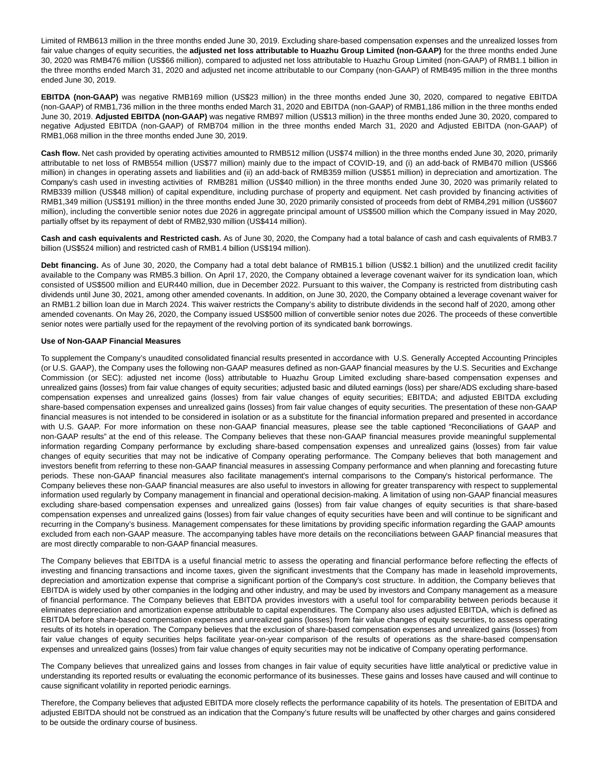Limited of RMB613 million in the three months ended June 30, 2019. Excluding share-based compensation expenses and the unrealized losses from fair value changes of equity securities, the **adjusted net loss attributable to Huazhu Group Limited (non-GAAP)** for the three months ended June 30, 2020 was RMB476 million (US\$66 million), compared to adjusted net loss attributable to Huazhu Group Limited (non-GAAP) of RMB1.1 billion in the three months ended March 31, 2020 and adjusted net income attributable to our Company (non-GAAP) of RMB495 million in the three months ended June 30, 2019.

**EBITDA (non-GAAP)** was negative RMB169 million (US\$23 million) in the three months ended June 30, 2020, compared to negative EBITDA (non-GAAP) of RMB1,736 million in the three months ended March 31, 2020 and EBITDA (non-GAAP) of RMB1,186 million in the three months ended June 30, 2019. **Adjusted EBITDA (non-GAAP)** was negative RMB97 million (US\$13 million) in the three months ended June 30, 2020, compared to negative Adjusted EBITDA (non-GAAP) of RMB704 million in the three months ended March 31, 2020 and Adjusted EBITDA (non-GAAP) of RMB1,068 million in the three months ended June 30, 2019.

**Cash flow.** Net cash provided by operating activities amounted to RMB512 million (US\$74 million) in the three months ended June 30, 2020, primarily attributable to net loss of RMB554 million (US\$77 million) mainly due to the impact of COVID-19, and (i) an add-back of RMB470 million (US\$66 million) in changes in operating assets and liabilities and (ii) an add-back of RMB359 million (US\$51 million) in depreciation and amortization. The Company's cash used in investing activities of RMB281 million (US\$40 million) in the three months ended June 30, 2020 was primarily related to RMB339 million (US\$48 million) of capital expenditure, including purchase of property and equipment. Net cash provided by financing activities of RMB1,349 million (US\$191 million) in the three months ended June 30, 2020 primarily consisted of proceeds from debt of RMB4,291 million (US\$607 million), including the convertible senior notes due 2026 in aggregate principal amount of US\$500 million which the Company issued in May 2020, partially offset by its repayment of debt of RMB2,930 million (US\$414 million).

**Cash and cash equivalents and Restricted cash.** As of June 30, 2020, the Company had a total balance of cash and cash equivalents of RMB3.7 billion (US\$524 million) and restricted cash of RMB1.4 billion (US\$194 million).

**Debt financing.** As of June 30, 2020, the Company had a total debt balance of RMB15.1 billion (US\$2.1 billion) and the unutilized credit facility available to the Company was RMB5.3 billion. On April 17, 2020, the Company obtained a leverage covenant waiver for its syndication loan, which consisted of US\$500 million and EUR440 million, due in December 2022. Pursuant to this waiver, the Company is restricted from distributing cash dividends until June 30, 2021, among other amended covenants. In addition, on June 30, 2020, the Company obtained a leverage covenant waiver for an RMB1.2 billion loan due in March 2024. This waiver restricts the Company's ability to distribute dividends in the second half of 2020, among other amended covenants. On May 26, 2020, the Company issued US\$500 million of convertible senior notes due 2026. The proceeds of these convertible senior notes were partially used for the repayment of the revolving portion of its syndicated bank borrowings.

### **Use of Non-GAAP Financial Measures**

To supplement the Company's unaudited consolidated financial results presented in accordance with U.S. Generally Accepted Accounting Principles (or U.S. GAAP), the Company uses the following non-GAAP measures defined as non-GAAP financial measures by the U.S. Securities and Exchange Commission (or SEC): adjusted net income (loss) attributable to Huazhu Group Limited excluding share-based compensation expenses and unrealized gains (losses) from fair value changes of equity securities; adjusted basic and diluted earnings (loss) per share/ADS excluding share-based compensation expenses and unrealized gains (losses) from fair value changes of equity securities; EBITDA; and adjusted EBITDA excluding share-based compensation expenses and unrealized gains (losses) from fair value changes of equity securities. The presentation of these non-GAAP financial measures is not intended to be considered in isolation or as a substitute for the financial information prepared and presented in accordance with U.S. GAAP. For more information on these non-GAAP financial measures, please see the table captioned "Reconciliations of GAAP and non-GAAP results" at the end of this release. The Company believes that these non-GAAP financial measures provide meaningful supplemental information regarding Company performance by excluding share-based compensation expenses and unrealized gains (losses) from fair value changes of equity securities that may not be indicative of Company operating performance. The Company believes that both management and investors benefit from referring to these non-GAAP financial measures in assessing Company performance and when planning and forecasting future periods. These non-GAAP financial measures also facilitate management's internal comparisons to the Company's historical performance. The Company believes these non-GAAP financial measures are also useful to investors in allowing for greater transparency with respect to supplemental information used regularly by Company management in financial and operational decision-making. A limitation of using non-GAAP financial measures excluding share-based compensation expenses and unrealized gains (losses) from fair value changes of equity securities is that share-based compensation expenses and unrealized gains (losses) from fair value changes of equity securities have been and will continue to be significant and recurring in the Company's business. Management compensates for these limitations by providing specific information regarding the GAAP amounts excluded from each non-GAAP measure. The accompanying tables have more details on the reconciliations between GAAP financial measures that are most directly comparable to non-GAAP financial measures.

The Company believes that EBITDA is a useful financial metric to assess the operating and financial performance before reflecting the effects of investing and financing transactions and income taxes, given the significant investments that the Company has made in leasehold improvements, depreciation and amortization expense that comprise a significant portion of the Company's cost structure. In addition, the Company believes that EBITDA is widely used by other companies in the lodging and other industry, and may be used by investors and Company management as a measure of financial performance. The Company believes that EBITDA provides investors with a useful tool for comparability between periods because it eliminates depreciation and amortization expense attributable to capital expenditures. The Company also uses adjusted EBITDA, which is defined as EBITDA before share-based compensation expenses and unrealized gains (losses) from fair value changes of equity securities, to assess operating results of its hotels in operation. The Company believes that the exclusion of share-based compensation expenses and unrealized gains (losses) from fair value changes of equity securities helps facilitate year-on-year comparison of the results of operations as the share-based compensation expenses and unrealized gains (losses) from fair value changes of equity securities may not be indicative of Company operating performance.

The Company believes that unrealized gains and losses from changes in fair value of equity securities have little analytical or predictive value in understanding its reported results or evaluating the economic performance of its businesses. These gains and losses have caused and will continue to cause significant volatility in reported periodic earnings.

Therefore, the Company believes that adjusted EBITDA more closely reflects the performance capability of its hotels. The presentation of EBITDA and adjusted EBITDA should not be construed as an indication that the Company's future results will be unaffected by other charges and gains considered to be outside the ordinary course of business.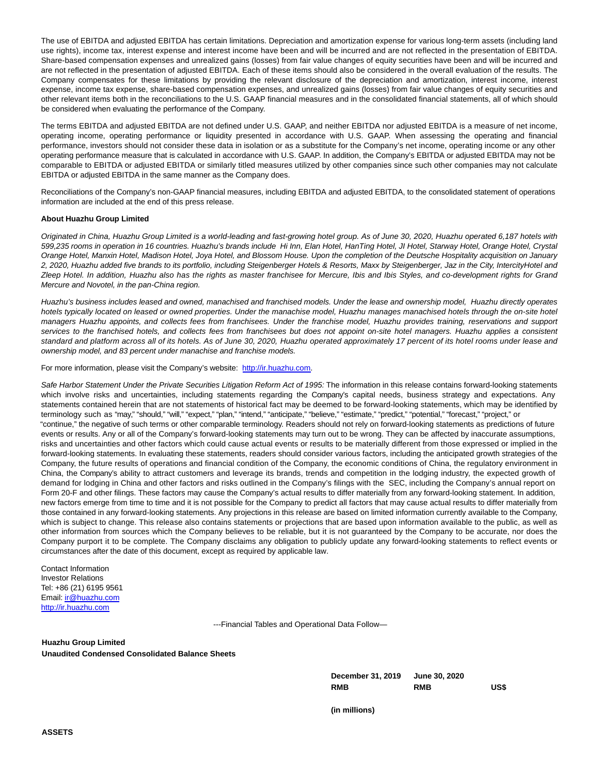The use of EBITDA and adjusted EBITDA has certain limitations. Depreciation and amortization expense for various long-term assets (including land use rights), income tax, interest expense and interest income have been and will be incurred and are not reflected in the presentation of EBITDA. Share-based compensation expenses and unrealized gains (losses) from fair value changes of equity securities have been and will be incurred and are not reflected in the presentation of adjusted EBITDA. Each of these items should also be considered in the overall evaluation of the results. The Company compensates for these limitations by providing the relevant disclosure of the depreciation and amortization, interest income, interest expense, income tax expense, share-based compensation expenses, and unrealized gains (losses) from fair value changes of equity securities and other relevant items both in the reconciliations to the U.S. GAAP financial measures and in the consolidated financial statements, all of which should be considered when evaluating the performance of the Company.

The terms EBITDA and adjusted EBITDA are not defined under U.S. GAAP, and neither EBITDA nor adjusted EBITDA is a measure of net income, operating income, operating performance or liquidity presented in accordance with U.S. GAAP. When assessing the operating and financial performance, investors should not consider these data in isolation or as a substitute for the Company's net income, operating income or any other operating performance measure that is calculated in accordance with U.S. GAAP. In addition, the Company's EBITDA or adjusted EBITDA may not be comparable to EBITDA or adjusted EBITDA or similarly titled measures utilized by other companies since such other companies may not calculate EBITDA or adjusted EBITDA in the same manner as the Company does.

Reconciliations of the Company's non-GAAP financial measures, including EBITDA and adjusted EBITDA, to the consolidated statement of operations information are included at the end of this press release.

### **About Huazhu Group Limited**

Originated in China, Huazhu Group Limited is a world-leading and fast-growing hotel group. As of June 30, 2020, Huazhu operated 6,187 hotels with 599,235 rooms in operation in 16 countries. Huazhu's brands include Hi Inn, Elan Hotel, HanTing Hotel, JI Hotel, Starway Hotel, Orange Hotel, Crystal Orange Hotel, Manxin Hotel, Madison Hotel, Joya Hotel, and Blossom House. Upon the completion of the Deutsche Hospitality acquisition on January 2, 2020, Huazhu added five brands to its portfolio, including Steigenberger Hotels & Resorts, Maxx by Steigenberger, Jaz in the City, IntercityHotel and Zleep Hotel. In addition, Huazhu also has the rights as master franchisee for Mercure, Ibis and Ibis Styles, and co-development rights for Grand Mercure and Novotel, in the pan-China region.

Huazhu's business includes leased and owned, manachised and franchised models. Under the lease and ownership model, Huazhu directly operates hotels typically located on leased or owned properties. Under the manachise model, Huazhu manages manachised hotels through the on-site hotel managers Huazhu appoints, and collects fees from franchisees. Under the franchise model, Huazhu provides training, reservations and support services to the franchised hotels, and collects fees from franchisees but does not appoint on-site hotel managers. Huazhu applies a consistent standard and platform across all of its hotels. As of June 30, 2020, Huazhu operated approximately 17 percent of its hotel rooms under lease and ownership model, and 83 percent under manachise and franchise models.

For more information, please visit the Company's website: [http://ir.huazhu.com.](https://www.globenewswire.com/Tracker?data=6fWu1lw53xSkugFBETXFaLGVL-TP02ys8e02whov5JCxtbKj6u7H0YjH-Y7AUMRyMnbBdh9tCW6x9HXTruaJgg==)

Safe Harbor Statement Under the Private Securities Litigation Reform Act of 1995: The information in this release contains forward-looking statements which involve risks and uncertainties, including statements regarding the Company's capital needs, business strategy and expectations. Any statements contained herein that are not statements of historical fact may be deemed to be forward-looking statements, which may be identified by terminology such as "may," "should," "will," "expect," "plan," "intend," "anticipate," "believe," "estimate," "predict," "potential," "forecast," "project," or "continue," the negative of such terms or other comparable terminology. Readers should not rely on forward-looking statements as predictions of future events or results. Any or all of the Company's forward-looking statements may turn out to be wrong. They can be affected by inaccurate assumptions, risks and uncertainties and other factors which could cause actual events or results to be materially different from those expressed or implied in the forward-looking statements. In evaluating these statements, readers should consider various factors, including the anticipated growth strategies of the Company, the future results of operations and financial condition of the Company, the economic conditions of China, the regulatory environment in China, the Company's ability to attract customers and leverage its brands, trends and competition in the lodging industry, the expected growth of demand for lodging in China and other factors and risks outlined in the Company's filings with the SEC, including the Company's annual report on Form 20-F and other filings. These factors may cause the Company's actual results to differ materially from any forward-looking statement. In addition, new factors emerge from time to time and it is not possible for the Company to predict all factors that may cause actual results to differ materially from those contained in any forward-looking statements. Any projections in this release are based on limited information currently available to the Company, which is subject to change. This release also contains statements or projections that are based upon information available to the public, as well as other information from sources which the Company believes to be reliable, but it is not guaranteed by the Company to be accurate, nor does the Company purport it to be complete. The Company disclaims any obligation to publicly update any forward-looking statements to reflect events or circumstances after the date of this document, except as required by applicable law.

Contact Information Investor Relations Tel: +86 (21) 6195 9561 Email[: ir@huazhu.com](mailto:ir@huazhu.com) [http://ir.huazhu.com](https://www.globenewswire.com/Tracker?data=6fWu1lw53xSkugFBETXFaKa-Axm8OuBF_ej1g_NYoroeWITJ6X9ZF1Yy5nSiES7-sOO4NRgMDt4aNp0ohVJ7cw==)

---Financial Tables and Operational Data Follow—

### **Huazhu Group Limited**

**Unaudited Condensed Consolidated Balance Sheets**

**December 31, 2019 June 30, 2020 RMB RMB US\$**

**(in millions)**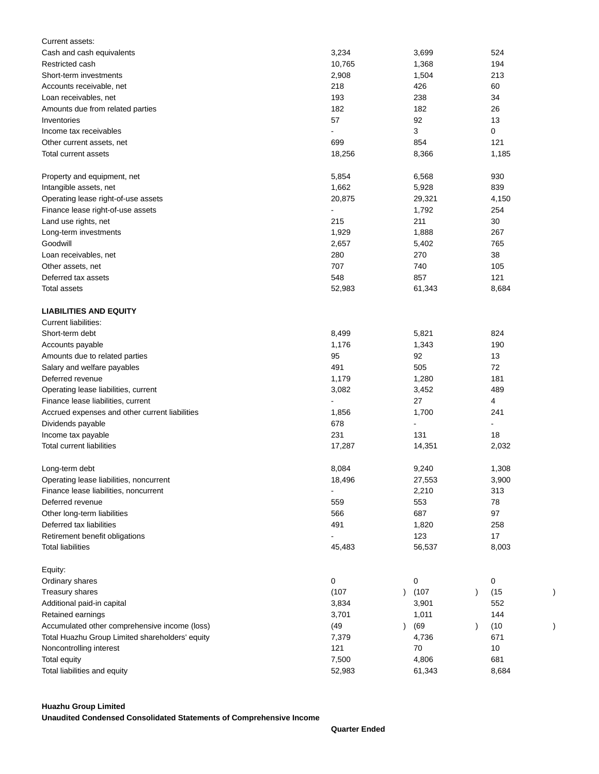| Current assets:                                 |        |                         |                          |  |
|-------------------------------------------------|--------|-------------------------|--------------------------|--|
| Cash and cash equivalents                       | 3,234  | 3,699                   | 524                      |  |
| Restricted cash                                 | 10,765 | 1,368                   | 194                      |  |
| Short-term investments                          | 2,908  | 1,504                   | 213                      |  |
| Accounts receivable, net                        | 218    | 426                     | 60                       |  |
| Loan receivables, net                           | 193    | 238                     | 34                       |  |
| Amounts due from related parties                | 182    | 182                     | 26                       |  |
| Inventories                                     | 57     | 92                      | 13                       |  |
| Income tax receivables                          |        | 3                       | 0                        |  |
| Other current assets, net                       | 699    | 854                     | 121                      |  |
| Total current assets                            | 18,256 | 8,366                   | 1,185                    |  |
|                                                 |        |                         |                          |  |
| Property and equipment, net                     | 5,854  | 6,568                   | 930                      |  |
| Intangible assets, net                          | 1,662  | 5,928                   | 839                      |  |
| Operating lease right-of-use assets             | 20,875 | 29,321                  | 4,150                    |  |
| Finance lease right-of-use assets               |        | 1,792                   | 254                      |  |
| Land use rights, net                            | 215    | 211                     | 30                       |  |
| Long-term investments                           | 1,929  | 1,888                   | 267                      |  |
| Goodwill                                        | 2,657  | 5,402                   | 765                      |  |
| Loan receivables, net                           | 280    | 270                     | 38                       |  |
| Other assets, net                               | 707    | 740                     | 105                      |  |
| Deferred tax assets                             | 548    | 857                     | 121                      |  |
| Total assets                                    | 52,983 | 61,343                  | 8,684                    |  |
|                                                 |        |                         |                          |  |
| <b>LIABILITIES AND EQUITY</b>                   |        |                         |                          |  |
| <b>Current liabilities:</b>                     |        |                         |                          |  |
| Short-term debt                                 | 8,499  | 5,821                   | 824                      |  |
| Accounts payable                                | 1,176  | 1,343                   | 190                      |  |
| Amounts due to related parties                  | 95     | 92                      | 13                       |  |
| Salary and welfare payables                     | 491    | 505                     | 72                       |  |
| Deferred revenue                                | 1,179  | 1,280                   | 181                      |  |
| Operating lease liabilities, current            | 3,082  | 3,452                   | 489                      |  |
|                                                 |        | 27                      | 4                        |  |
| Finance lease liabilities, current              |        |                         |                          |  |
| Accrued expenses and other current liabilities  | 1,856  | 1,700<br>$\overline{a}$ | 241                      |  |
| Dividends payable                               | 678    |                         | $\overline{\phantom{a}}$ |  |
| Income tax payable                              | 231    | 131                     | 18                       |  |
| <b>Total current liabilities</b>                | 17,287 | 14,351                  | 2,032                    |  |
| Long-term debt                                  | 8,084  | 9,240                   | 1,308                    |  |
|                                                 |        |                         |                          |  |
| Operating lease liabilities, noncurrent         | 18,496 | 27,553                  | 3,900                    |  |
| Finance lease liabilities, noncurrent           |        | 2,210                   | 313                      |  |
| Deferred revenue                                | 559    | 553                     | 78                       |  |
| Other long-term liabilities                     | 566    | 687                     | 97                       |  |
| Deferred tax liabilities                        | 491    | 1,820                   | 258                      |  |
| Retirement benefit obligations                  |        | 123                     | 17                       |  |
| <b>Total liabilities</b>                        | 45,483 | 56,537                  | 8,003                    |  |
|                                                 |        |                         |                          |  |
| Equity:                                         |        |                         |                          |  |
| Ordinary shares                                 | 0      | 0                       | 0                        |  |
| Treasury shares                                 | (107)  | (107)                   | (15)<br>$\lambda$        |  |
| Additional paid-in capital                      | 3,834  | 3,901                   | 552                      |  |
| Retained earnings                               | 3,701  | 1,011                   | 144                      |  |
| Accumulated other comprehensive income (loss)   | (49)   | (69)                    | (10)<br>$\lambda$        |  |
| Total Huazhu Group Limited shareholders' equity | 7,379  | 4,736                   | 671                      |  |
| Noncontrolling interest                         | 121    | 70                      | 10                       |  |
| Total equity                                    | 7,500  | 4,806                   | 681                      |  |
| Total liabilities and equity                    | 52,983 | 61,343                  | 8,684                    |  |

## **Huazhu Group Limited**

**Unaudited Condensed Consolidated Statements of Comprehensive Income**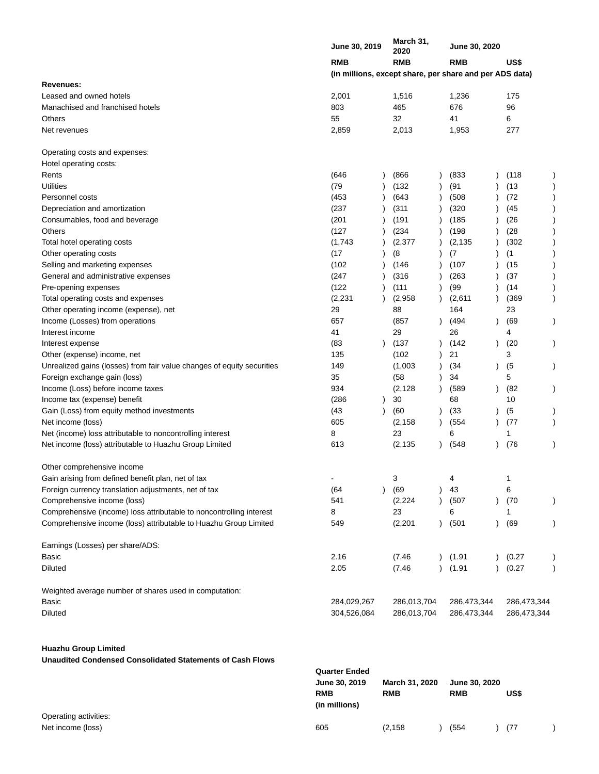|                                                                        | <b>June 30, 2019</b>                                    | March 31,<br>2020 |               | <b>June 30, 2020</b> |           |             |  |
|------------------------------------------------------------------------|---------------------------------------------------------|-------------------|---------------|----------------------|-----------|-------------|--|
|                                                                        | <b>RMB</b>                                              | <b>RMB</b>        |               | <b>RMB</b>           |           | US\$        |  |
|                                                                        | (in millions, except share, per share and per ADS data) |                   |               |                      |           |             |  |
| Revenues:                                                              |                                                         |                   |               |                      |           |             |  |
| Leased and owned hotels                                                | 2,001                                                   | 1,516             |               | 1,236                |           | 175         |  |
| Manachised and franchised hotels                                       | 803                                                     | 465               |               | 676                  |           | 96          |  |
| Others                                                                 | 55                                                      | 32                |               | 41                   |           | 6           |  |
| Net revenues                                                           | 2,859                                                   | 2,013             |               | 1,953                |           | 277         |  |
| Operating costs and expenses:                                          |                                                         |                   |               |                      |           |             |  |
| Hotel operating costs:                                                 |                                                         |                   |               |                      |           |             |  |
| Rents                                                                  | (646                                                    | (866)             |               | (833)                |           | (118        |  |
| <b>Utilities</b>                                                       | (79)                                                    | (132)             |               | (91)                 |           | (13)        |  |
| Personnel costs                                                        | (453                                                    | (643)             |               | (508)                |           | (72)        |  |
| Depreciation and amortization                                          | (237)                                                   | (311)             |               | (320)                |           | (45         |  |
| Consumables, food and beverage                                         | (201)                                                   | (191)             |               | (185)                |           | (26)        |  |
| Others                                                                 | (127)                                                   | (234)             |               | (198)                |           | (28)        |  |
| Total hotel operating costs                                            | (1,743)                                                 | (2, 377)          |               | (2, 135)             |           | (302)       |  |
| Other operating costs                                                  | (17)                                                    | (8)               |               | (7)                  |           | (1)         |  |
| Selling and marketing expenses                                         | (102)                                                   | (146)             |               | (107)                |           | (15)        |  |
| General and administrative expenses                                    | (247                                                    | (316)             |               | (263)                |           | (37)        |  |
| Pre-opening expenses                                                   | (122)                                                   | (111)             |               | (99)                 |           | (14)        |  |
| Total operating costs and expenses                                     | (2, 231)                                                | (2,958)           |               | (2,611)              |           | (369)       |  |
| Other operating income (expense), net                                  | 29                                                      | 88                |               | 164                  |           | 23          |  |
| Income (Losses) from operations                                        | 657                                                     | (857              |               | (494                 |           | (69)        |  |
| Interest income                                                        | 41                                                      | 29                |               | 26                   |           | 4           |  |
| Interest expense                                                       | (83)                                                    | (137)             |               | (142)                | $\lambda$ | (20         |  |
| Other (expense) income, net                                            | 135                                                     | (102)             |               | 21                   |           | 3           |  |
| Unrealized gains (losses) from fair value changes of equity securities | 149                                                     | (1,003)           |               | (34)                 | $\lambda$ | (5)         |  |
| Foreign exchange gain (loss)                                           | 35                                                      | (58)              |               | 34                   |           | 5           |  |
| Income (Loss) before income taxes                                      | 934                                                     | (2, 128)          |               | (589                 | $\lambda$ | (82         |  |
| Income tax (expense) benefit                                           | (286)                                                   | 30                |               | 68                   |           | 10          |  |
| Gain (Loss) from equity method investments                             | (43)                                                    | (60)              |               | (33)                 |           | (5)         |  |
| Net income (loss)                                                      | 605                                                     | (2, 158)          |               | (554)                |           | (77)        |  |
| Net (income) loss attributable to noncontrolling interest              | 8                                                       | 23                |               | 6                    |           | 1           |  |
| Net income (loss) attributable to Huazhu Group Limited                 | 613                                                     | (2, 135)          |               | (548)                |           | (76)        |  |
| Other comprehensive income                                             |                                                         |                   |               |                      |           |             |  |
| Gain arising from defined benefit plan, net of tax                     | -                                                       | 3                 |               | 4                    |           | 1           |  |
| Foreign currency translation adjustments, net of tax                   | (64)                                                    | (69               |               | 43                   |           | 6           |  |
| Comprehensive income (loss)                                            | 541                                                     | (2, 224)          |               | (507)                | $\lambda$ | (70)        |  |
| Comprehensive (income) loss attributable to noncontrolling interest    | 8                                                       | 23                |               | 6                    |           | 1           |  |
| Comprehensive income (loss) attributable to Huazhu Group Limited       | 549                                                     | (2, 201)          |               | (501)                | $\lambda$ | (69         |  |
| Earnings (Losses) per share/ADS:                                       |                                                         |                   |               |                      |           |             |  |
| Basic                                                                  | 2.16                                                    | (7.46)            | $\lambda$     | (1.91)               |           | (0.27)      |  |
| <b>Diluted</b>                                                         | 2.05                                                    | (7.46)            | $\mathcal{L}$ | (1.91)               |           | (0.27)      |  |
| Weighted average number of shares used in computation:                 |                                                         |                   |               |                      |           |             |  |
| Basic                                                                  | 284,029,267                                             | 286,013,704       |               | 286,473,344          |           | 286,473,344 |  |
| <b>Diluted</b>                                                         | 304,526,084                                             | 286,013,704       |               | 286,473,344          |           | 286,473,344 |  |

## **Huazhu Group Limited**

**Unaudited Condensed Consolidated Statements of Cash Flows**

|                                            | <b>Quarter Ended</b><br>June 30, 2019<br><b>RMB</b><br>(in millions) | March 31, 2020<br><b>RMB</b> | <b>RMB</b> | June 30, 2020 | US\$ |  |
|--------------------------------------------|----------------------------------------------------------------------|------------------------------|------------|---------------|------|--|
| Operating activities:<br>Net income (loss) | 605                                                                  | (2, 158)                     | (554)      |               | (77  |  |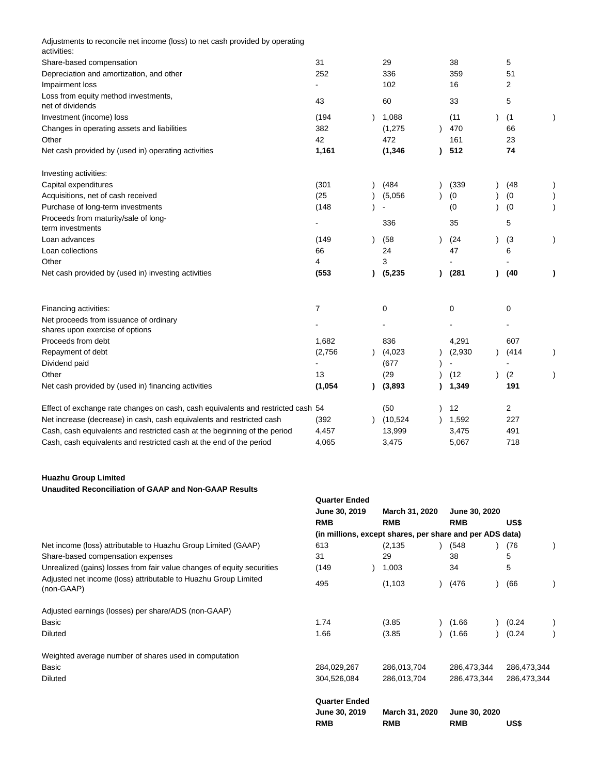| Adjustments to reconcile net income (loss) to net cash provided by operating<br>activities: |         |          |         |             |              |
|---------------------------------------------------------------------------------------------|---------|----------|---------|-------------|--------------|
| Share-based compensation                                                                    | 31      | 29       | 38      | 5           |              |
| Depreciation and amortization, and other                                                    | 252     | 336      | 359     | 51          |              |
| Impairment loss                                                                             |         | 102      | 16      | 2           |              |
| Loss from equity method investments,<br>net of dividends                                    | 43      | 60       | 33      | 5           |              |
| Investment (income) loss                                                                    | (194)   | 1,088    | (11)    | (1)         |              |
| Changes in operating assets and liabilities                                                 | 382     | (1,275)  | 470     | 66          |              |
| Other                                                                                       | 42      | 472      | 161     | 23          |              |
| Net cash provided by (used in) operating activities                                         | 1,161   | (1, 346) | 512     | 74          |              |
| Investing activities:                                                                       |         |          |         |             |              |
| Capital expenditures                                                                        | (301)   | (484)    | (339)   | (48)        |              |
| Acquisitions, net of cash received                                                          | (25)    | (5,056)  | (0)     | (0)         |              |
| Purchase of long-term investments                                                           | (148)   |          | (0)     | (0)         |              |
| Proceeds from maturity/sale of long-                                                        |         | 336      | 35      | 5           |              |
| term investments                                                                            |         |          |         |             |              |
| Loan advances                                                                               | (149)   | (58)     | (24)    | (3)         |              |
| Loan collections                                                                            | 66      | 24       | 47      | 6           |              |
| Other                                                                                       | 4       | 3        |         |             |              |
| Net cash provided by (used in) investing activities                                         | (553)   | (5,235)  | (281)   | (40)        | $\mathbf{I}$ |
| Financing activities:                                                                       | 7       | 0        | 0       | $\mathbf 0$ |              |
| Net proceeds from issuance of ordinary<br>shares upon exercise of options                   |         |          |         |             |              |
| Proceeds from debt                                                                          | 1,682   | 836      | 4,291   | 607         |              |
| Repayment of debt                                                                           | (2,756) | (4,023)  | (2,930) | (414)       |              |
| Dividend paid                                                                               |         | (677)    |         |             |              |
| Other                                                                                       | 13      | (29)     | (12)    | (2)         |              |
| Net cash provided by (used in) financing activities                                         | (1,054) | (3,893)  | 1,349   | 191         |              |
| Effect of exchange rate changes on cash, cash equivalents and restricted cash 54            |         | (50)     | 12      | 2           |              |
| Net increase (decrease) in cash, cash equivalents and restricted cash                       | (392)   | (10,524) | 1,592   | 227         |              |
| Cash, cash equivalents and restricted cash at the beginning of the period                   | 4,457   | 13,999   | 3,475   | 491         |              |
| Cash, cash equivalents and restricted cash at the end of the period                         | 4,065   | 3,475    | 5,067   | 718         |              |

## **Huazhu Group Limited Unaudited Reconciliation of GAAP and Non-GAAP Results**

|                                                                               | <b>Quarter Ended</b><br>June 30, 2019 | March 31, 2020                                           | June 30, 2020               |             |
|-------------------------------------------------------------------------------|---------------------------------------|----------------------------------------------------------|-----------------------------|-------------|
|                                                                               | <b>RMB</b>                            | <b>RMB</b>                                               | <b>RMB</b>                  | US\$        |
|                                                                               |                                       | (in millions, except shares, per share and per ADS data) |                             |             |
| Net income (loss) attributable to Huazhu Group Limited (GAAP)                 | 613                                   | (2, 135)                                                 | (548)                       | (76         |
| Share-based compensation expenses                                             | 31                                    | 29                                                       | 38                          | 5           |
| Unrealized (gains) losses from fair value changes of equity securities        | (149)                                 | 1,003                                                    | 34                          | 5           |
| Adjusted net income (loss) attributable to Huazhu Group Limited<br>(non-GAAP) | 495                                   | (1, 103)                                                 | (476)                       | (66)        |
| Adjusted earnings (losses) per share/ADS (non-GAAP)                           |                                       |                                                          |                             |             |
| Basic                                                                         | 1.74                                  | (3.85)                                                   | (1.66)                      | (0.24)      |
| <b>Diluted</b>                                                                | 1.66                                  | (3.85)                                                   | (1.66)                      | (0.24)      |
| Weighted average number of shares used in computation                         |                                       |                                                          |                             |             |
| Basic                                                                         | 284,029,267                           | 286,013,704                                              | 286,473,344                 | 286,473,344 |
| <b>Diluted</b>                                                                | 304,526,084                           | 286,013,704                                              | 286,473,344                 | 286,473,344 |
|                                                                               | <b>Quarter Ended</b>                  |                                                          |                             |             |
|                                                                               | June 30, 2019<br><b>RMB</b>           | March 31, 2020<br><b>RMB</b>                             | June 30, 2020<br><b>RMB</b> | US\$        |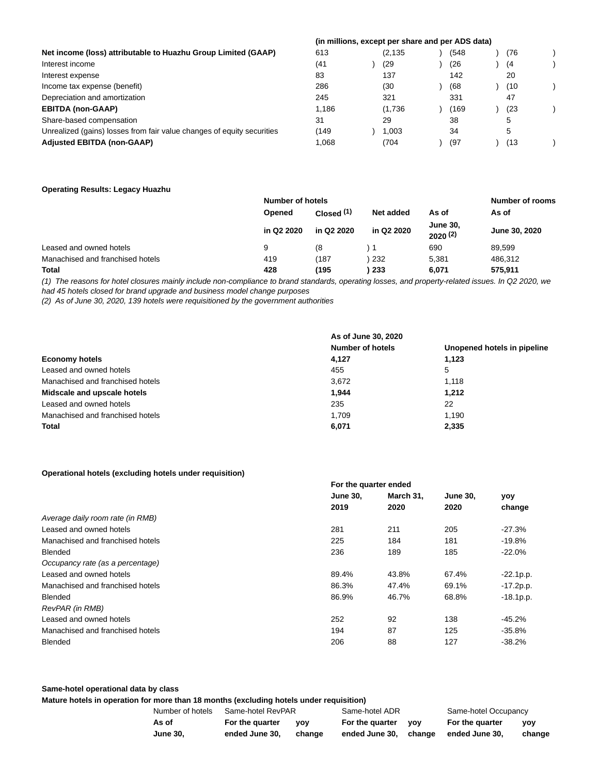|                                                                        | (in millions, except per share and per ADS data) |          |      |     |  |
|------------------------------------------------------------------------|--------------------------------------------------|----------|------|-----|--|
| Net income (loss) attributable to Huazhu Group Limited (GAAP)          | 613                                              | (2, 135) | (548 | (76 |  |
| Interest income                                                        | (41                                              | (29      | (26) | (4) |  |
| Interest expense                                                       | 83                                               | 137      | 142  | 20  |  |
| Income tax expense (benefit)                                           | 286                                              | (30      | (68  | (10 |  |
| Depreciation and amortization                                          | 245                                              | 321      | 331  | 47  |  |
| <b>EBITDA (non-GAAP)</b>                                               | 1.186                                            | (1,736)  | (169 | (23 |  |
| Share-based compensation                                               | 31                                               | 29       | 38   | 5   |  |
| Unrealized (gains) losses from fair value changes of equity securities | (149                                             | 1.003    | 34   | 5   |  |
| <b>Adjusted EBITDA (non-GAAP)</b>                                      | 1.068                                            | (704     | (97) | (13 |  |

## **Operating Results: Legacy Huazhu**

|                                  | Number of hotels |                           |            |                                 | <b>Number of rooms</b> |
|----------------------------------|------------------|---------------------------|------------|---------------------------------|------------------------|
|                                  | Opened           | Closed $(1)$<br>Net added |            | As of                           | As of                  |
|                                  | in Q2 2020       | in Q2 2020                | in Q2 2020 | <b>June 30,</b><br>$2020^{(2)}$ | June 30, 2020          |
| Leased and owned hotels          | 9                | 68                        |            | 690                             | 89,599                 |
| Manachised and franchised hotels | 419              | (187)                     | 232        | 5.381                           | 486.312                |
| <b>Total</b>                     | 428              | (195                      | -233       | 6,071                           | 575,911                |

(1) The reasons for hotel closures mainly include non-compliance to brand standards, operating losses, and property-related issues. In Q2 2020, we had 45 hotels closed for brand upgrade and business model change purposes

(2) As of June 30, 2020, 139 hotels were requisitioned by the government authorities

|                                  | As of June 30, 2020     |                             |
|----------------------------------|-------------------------|-----------------------------|
|                                  | <b>Number of hotels</b> | Unopened hotels in pipeline |
| <b>Economy hotels</b>            | 4.127                   | 1.123                       |
| Leased and owned hotels          | 455                     | 5                           |
| Manachised and franchised hotels | 3.672                   | 1.118                       |
| Midscale and upscale hotels      | 1.944                   | 1.212                       |
| Leased and owned hotels          | 235                     | 22                          |
| Manachised and franchised hotels | 1.709                   | 1.190                       |
| <b>Total</b>                     | 6,071                   | 2.335                       |

### **Operational hotels (excluding hotels under requisition)**

| where an analysis to the following there is a made to date interest. |                       |           |                 |              |  |
|----------------------------------------------------------------------|-----------------------|-----------|-----------------|--------------|--|
|                                                                      | For the quarter ended |           |                 |              |  |
|                                                                      | <b>June 30,</b>       | March 31, | <b>June 30,</b> | yoy          |  |
|                                                                      | 2019                  | 2020      | 2020            | change       |  |
| Average daily room rate (in RMB)                                     |                       |           |                 |              |  |
| Leased and owned hotels                                              | 281                   | 211       | 205             | $-27.3%$     |  |
| Manachised and franchised hotels                                     | 225                   | 184       | 181             | $-19.8%$     |  |
| <b>Blended</b>                                                       | 236                   | 189       | 185             | $-22.0%$     |  |
| Occupancy rate (as a percentage)                                     |                       |           |                 |              |  |
| Leased and owned hotels                                              | 89.4%                 | 43.8%     | 67.4%           | $-22.1p.p.$  |  |
| Manachised and franchised hotels                                     | 86.3%                 | 47.4%     | 69.1%           | $-17.2p.p.$  |  |
| Blended                                                              | 86.9%                 | 46.7%     | 68.8%           | $-18.1 p.p.$ |  |
| RevPAR (in RMB)                                                      |                       |           |                 |              |  |
| Leased and owned hotels                                              | 252                   | 92        | 138             | $-45.2%$     |  |
| Manachised and franchised hotels                                     | 194                   | 87        | 125             | $-35.8%$     |  |
| <b>Blended</b>                                                       | 206                   | 88        | 127             | $-38.2%$     |  |
|                                                                      |                       |           |                 |              |  |

#### **Same-hotel operational data by class**

**Mature hotels in operation for more than 18 months (excluding hotels under requisition)**

| Number of hotels | Same-hotel RevPAR |            | Same-hotel ADR  |            | Same-hotel Occupancy  |        |  |
|------------------|-------------------|------------|-----------------|------------|-----------------------|--------|--|
| As of            | For the quarter   | <b>VOV</b> | For the quarter | <b>VOV</b> | For the quarter       | vov    |  |
| <b>June 30.</b>  | ended June 30.    | change     | ended June 30.  |            | change ended June 30. | change |  |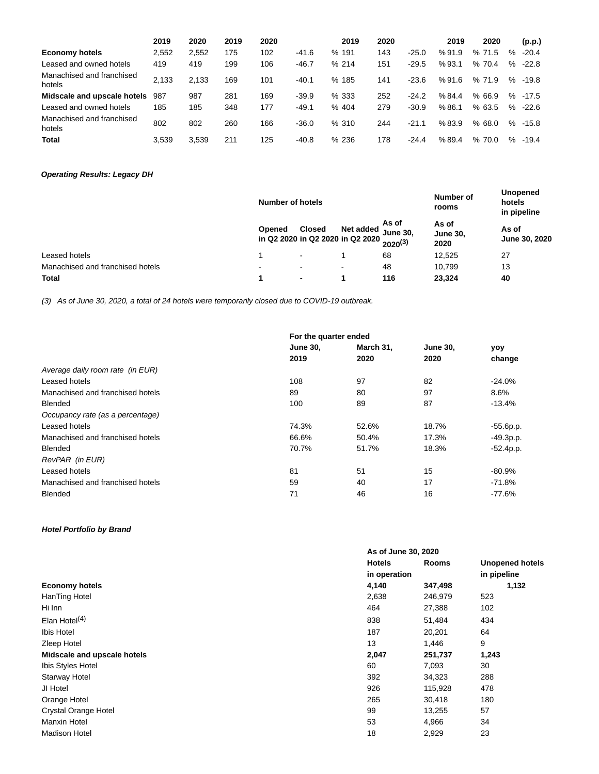|                                     | 2019  | 2020  | 2019 | 2020 |         |       | 2019 | 2020 |         | 2019  | 2020  |      | (p.p.)  |
|-------------------------------------|-------|-------|------|------|---------|-------|------|------|---------|-------|-------|------|---------|
| <b>Economy hotels</b>               | 2,552 | 2,552 | 175  | 102  | $-41.6$ | % 191 |      | 143  | $-25.0$ | %91.9 | %71.5 | $\%$ | $-20.4$ |
| Leased and owned hotels             | 419   | 419   | 199  | 106  | $-46.7$ | %214  |      | 151  | $-29.5$ | %93.1 | %70.4 | %    | $-22.8$ |
| Manachised and franchised<br>hotels | 2.133 | 2.133 | 169  | 101  | $-40.1$ | % 185 |      | 141  | $-23.6$ | %91.6 | %71.9 | $\%$ | $-19.8$ |
| Midscale and upscale hotels         | 987   | 987   | 281  | 169  | $-39.9$ | % 333 |      | 252  | $-24.2$ | %84.4 | %66.9 | %    | $-17.5$ |
| Leased and owned hotels             | 185   | 185   | 348  | 177  | $-49.1$ | % 404 |      | 279  | $-30.9$ | %86.1 | %63.5 | %    | $-22.6$ |
| Manachised and franchised<br>hotels | 802   | 802   | 260  | 166  | $-36.0$ | %310  |      | 244  | $-21.1$ | %83.9 | %68.0 | $\%$ | $-15.8$ |
| <b>Total</b>                        | 3.539 | 3.539 | 211  | 125  | $-40.8$ | % 236 |      | 178  | $-24.4$ | %89.4 | %70.0 | $\%$ | $-19.4$ |

## **Operating Results: Legacy DH**

|                                  |                                            | Number of hotels |           |                                          |                                  | <b>Unopened</b><br>hotels<br>in pipeline |  |
|----------------------------------|--------------------------------------------|------------------|-----------|------------------------------------------|----------------------------------|------------------------------------------|--|
|                                  | Opened<br>in Q2 2020 in Q2 2020 in Q2 2020 | <b>Closed</b>    | Net added | As of<br><b>June 30,</b><br>$2020^{(3)}$ | As of<br><b>June 30,</b><br>2020 | As of<br>June 30, 2020                   |  |
| Leased hotels                    |                                            |                  |           | 68                                       | 12,525                           | 27                                       |  |
| Manachised and franchised hotels | $\blacksquare$                             | $\blacksquare$   | ۰         | 48                                       | 10.799                           | 13                                       |  |
| <b>Total</b>                     |                                            | -                |           | 116                                      | 23,324                           | 40                                       |  |

(3) As of June 30, 2020, a total of 24 hotels were temporarily closed due to COVID-19 outbreak.

|                                  | For the quarter ended |           |                 |             |
|----------------------------------|-----------------------|-----------|-----------------|-------------|
|                                  | <b>June 30,</b>       | March 31, | <b>June 30,</b> | yoy         |
|                                  | 2019                  | 2020      | 2020            | change      |
| Average daily room rate (in EUR) |                       |           |                 |             |
| Leased hotels                    | 108                   | 97        | 82              | $-24.0%$    |
| Manachised and franchised hotels | 89                    | 80        | 97              | 8.6%        |
| <b>Blended</b>                   | 100                   | 89        | 87              | $-13.4%$    |
| Occupancy rate (as a percentage) |                       |           |                 |             |
| Leased hotels                    | 74.3%                 | 52.6%     | 18.7%           | $-55.6p.p.$ |
| Manachised and franchised hotels | 66.6%                 | 50.4%     | 17.3%           | $-49.3p.p.$ |
| <b>Blended</b>                   | 70.7%                 | 51.7%     | 18.3%           | $-52.4p.p.$ |
| RevPAR (in EUR)                  |                       |           |                 |             |
| Leased hotels                    | 81                    | 51        | 15              | $-80.9%$    |
| Manachised and franchised hotels | 59                    | 40        | 17              | $-71.8%$    |
| <b>Blended</b>                   | 71                    | 46        | 16              | $-77.6%$    |
|                                  |                       |           |                 |             |

## **Hotel Portfolio by Brand**

|                             |               | As of June 30, 2020 |                        |  |  |
|-----------------------------|---------------|---------------------|------------------------|--|--|
|                             | <b>Hotels</b> | <b>Rooms</b>        | <b>Unopened hotels</b> |  |  |
|                             |               | in operation        |                        |  |  |
| <b>Economy hotels</b>       | 4,140         | 347,498             | 1,132                  |  |  |
| HanTing Hotel               | 2,638         | 246,979             | 523                    |  |  |
| Hi Inn                      | 464           | 27,388              | 102                    |  |  |
| Elan Hotel $(4)$            | 838           | 51,484              | 434                    |  |  |
| Ibis Hotel                  | 187           | 20,201              | 64                     |  |  |
| Zleep Hotel                 | 13            | 1,446               | 9                      |  |  |
| Midscale and upscale hotels | 2,047         | 251,737             | 1,243                  |  |  |
| Ibis Styles Hotel           | 60            | 7,093               | 30                     |  |  |
| <b>Starway Hotel</b>        | 392           | 34,323              | 288                    |  |  |
| JI Hotel                    | 926           | 115,928             | 478                    |  |  |
| Orange Hotel                | 265           | 30,418              | 180                    |  |  |
| <b>Crystal Orange Hotel</b> | 99            | 13,255              | 57                     |  |  |
| Manxin Hotel                | 53            | 4,966               | 34                     |  |  |
| <b>Madison Hotel</b>        | 18            | 2,929               | 23                     |  |  |